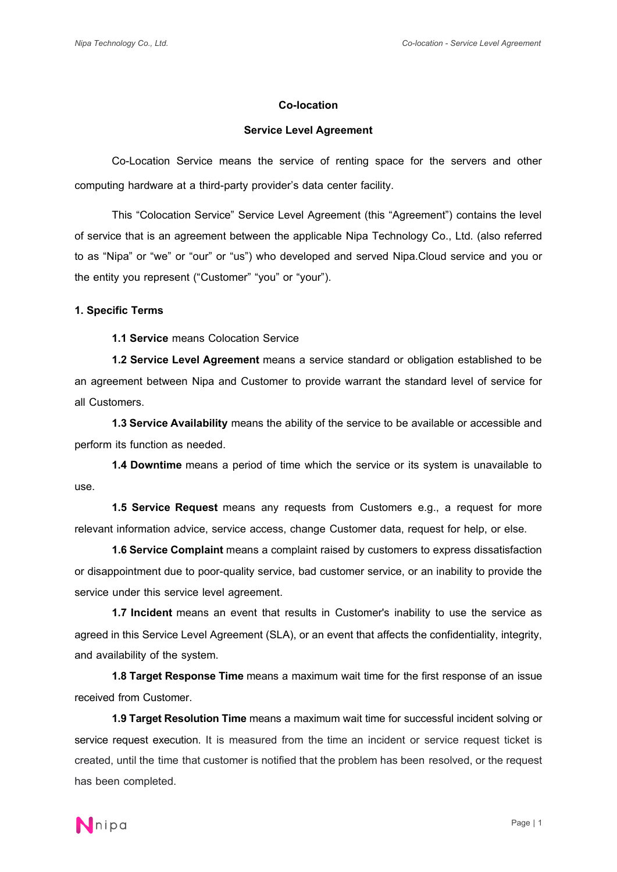#### **Co-location**

#### **Service Level Agreement**

Co-Location Service means the service of renting space for the servers and other computing hardware at a third-party provider's data center facility.

This "Colocation Service" Service Level Agreement (this "Agreement") contains the level of service that is an agreement between the applicable Nipa Technology Co., Ltd. (also referred to as "Nipa" or "we" or "our" or "us") who developed and served Nipa.Cloud service and you or the entity you represent ("Customer" "you" or "your").

## **1. Specific Terms**

**1.1 Service** means Colocation Service

**1.2 Service Level Agreement** means a service standard or obligation established to be an agreement between Nipa and Customer to provide warrant the standard level of service for all Customers.

**1.3 Service Availability** means the ability of the service to be available or accessible and perform its function as needed.

**1.4 Downtime** means a period of time which the service or its system is unavailable to use.

**1.5 Service Request** means any requests from Customers e.g., a request for more relevant information advice, service access, change Customer data, request for help, or else.

**1.6 Service Complaint** means a complaint raised by customers to express dissatisfaction or disappointment due to poor-quality service, bad customer service, or an inability to provide the service under this service level agreement.

**1.7 Incident** means an event that results in Customer's inability to use the service as agreed in this Service Level Agreement (SLA), or an event that affects the confidentiality, integrity, and availability of the system.

**1.8Target Response Time** means a maximum wait time for the first response of an issue received from Customer.

**1.9 Target Resolution Time** means a maximum wait time for successful incident solving or service request execution. It is measured from the time an incident or service request ticket is created, until the time that customer is notified that the problem has been resolved, or the request has been completed.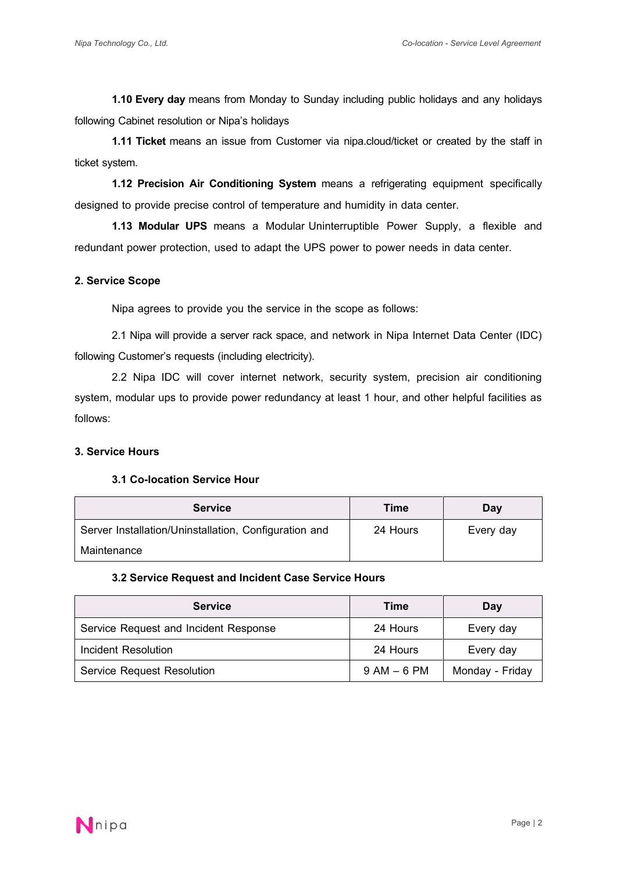**1.10 Every day** means from Monday to Sunday including public holidays and any holidays following Cabinet resolution or Nipa's holidays

**1.11 Ticket** means an issue from Customer via nipa.cloud/ticket or created by the staff in ticket system.

**1.12 Precision Air Conditioning System** means a refrigerating equipment specifically designed to provide precise control of temperature and humidity in data center.

**1.13 Modular UPS** means a Modular Uninterruptible Power Supply, a flexible and redundant power protection, used to adapt the UPS power to power needs in data center.

## **2. Service Scope**

Nipa agrees to provide you the service in the scope as follows:

2.1 Nipa will provide a server rack space, and network in Nipa Internet Data Center (IDC) following Customer's requests (including electricity).

2.2 Nipa IDC will cover internet network, security system, precision air conditioning system, modular ups to provide power redundancy at least 1 hour, and other helpful facilities as follows:

# **3. Service Hours**

#### **3.1 Co-location Service Hour**

| <b>Service</b>                                        | <b>Time</b> | Day       |
|-------------------------------------------------------|-------------|-----------|
| Server Installation/Uninstallation, Configuration and | 24 Hours    | Every day |
| Maintenance                                           |             |           |

#### **3.2 Service Request and Incident Case Service Hours**

| <b>Service</b>                        | Time            | Day             |
|---------------------------------------|-----------------|-----------------|
| Service Request and Incident Response | 24 Hours        | Every day       |
| <b>Incident Resolution</b>            | 24 Hours        | Every day       |
| <b>Service Request Resolution</b>     | $9$ AM $-$ 6 PM | Monday - Friday |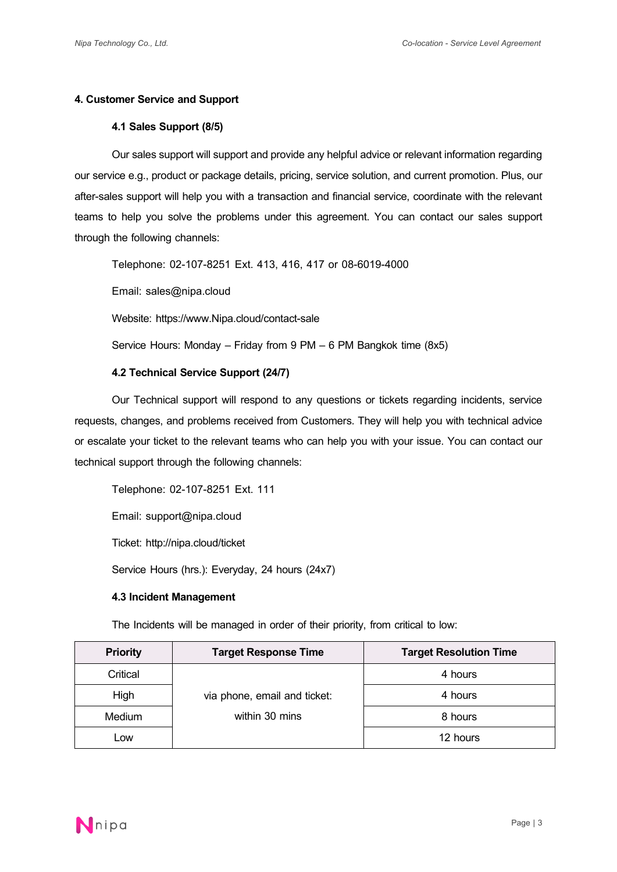# **4. Customer Service and Support**

# **4.1 Sales Support (8/5)**

Our sales support will support and provide any helpful advice or relevant information regarding our service e.g., product or package details, pricing, service solution, and current promotion. Plus, our after-sales support will help you with a transaction and financial service, coordinate with the relevant teams to help you solve the problems under this agreement. You can contact our sales support through the following channels:

Telephone: 02-107-8251 Ext. 413, 416, 417 or 08-6019-4000

Email: sales@nipa.cloud

Website: https://www.Nipa.cloud/contact-sale

Service Hours: Monday –Friday from 9 PM – 6 PM Bangkok time (8x5)

# **4.2 Technical Service Support (24/7)**

Our Technical support will respond to any questions or tickets regarding incidents, service requests, changes, and problems received from Customers. They will help you with technical advice or escalate your ticket to the relevant teams who can help you with your issue. You can contact our technical support through the following channels:

Telephone: 02-107-8251 Ext. 111

Email: support@nipa.cloud

Ticket: http://nipa.cloud/ticket

Service Hours (hrs.): Everyday, 24 hours (24x7)

# **4.3Incident Management**

The Incidents will be managed in order of their priority, from critical to low:

| <b>Priority</b> | <b>Target Response Time</b>  | <b>Target Resolution Time</b> |
|-----------------|------------------------------|-------------------------------|
| Critical        |                              | 4 hours                       |
| High            | via phone, email and ticket: | 4 hours                       |
| <b>Medium</b>   | within 30 mins               | 8 hours                       |
| Low             |                              | 12 hours                      |

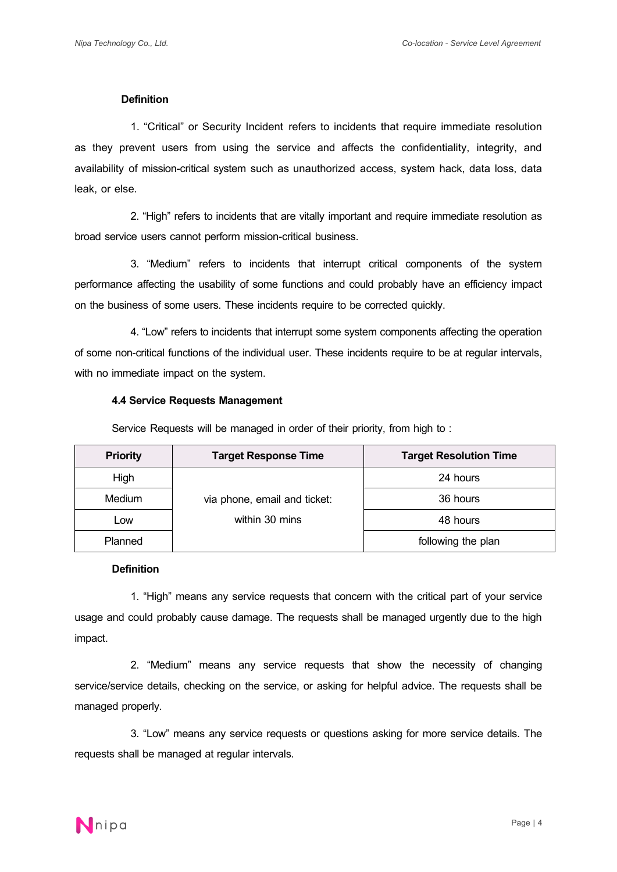#### **Definition**

1. "Critical" or Security Incident refers to incidents that require immediate resolution as they prevent users from using the service and affects the confidentiality, integrity, and availability of mission-critical system such as unauthorized access, system hack, data loss, data leak, or else.

2. "High" refers to incidents that are vitally important and require immediate resolution as broad service users cannot perform mission-critical business.

3. "Medium" refers to incidents that interrupt critical components of the system performance affecting the usability of some functions and could probably have an efficiency impact on the business of some users. These incidents require to be corrected quickly.

4. "Low" refers to incidents that interrupt some system components affecting the operation of some non-critical functions of the individual user. These incidents require to be at regular intervals, with no immediate impact on the system.

#### **4.4 Service Requests Management**

Service Requests will be managed in order of their priority, from high to :

| <b>Priority</b> | <b>Target Response Time</b>  | <b>Target Resolution Time</b> |
|-----------------|------------------------------|-------------------------------|
| High            |                              | 24 hours                      |
| Medium          | via phone, email and ticket: | 36 hours                      |
| Low             | within 30 mins               | 48 hours                      |
| Planned         |                              | following the plan            |

#### **Definition**

1. "High" means any service requests that concern with the critical part of your service usage and could probably cause damage. The requests shall be managed urgently due to the high impact.

2. "Medium" means any service requests that show the necessity of changing service/service details, checking on the service, or asking for helpful advice. The requests shall be managed properly.

3. "Low" means any service requests or questions asking for more service details. The requests shall be managed at regular intervals.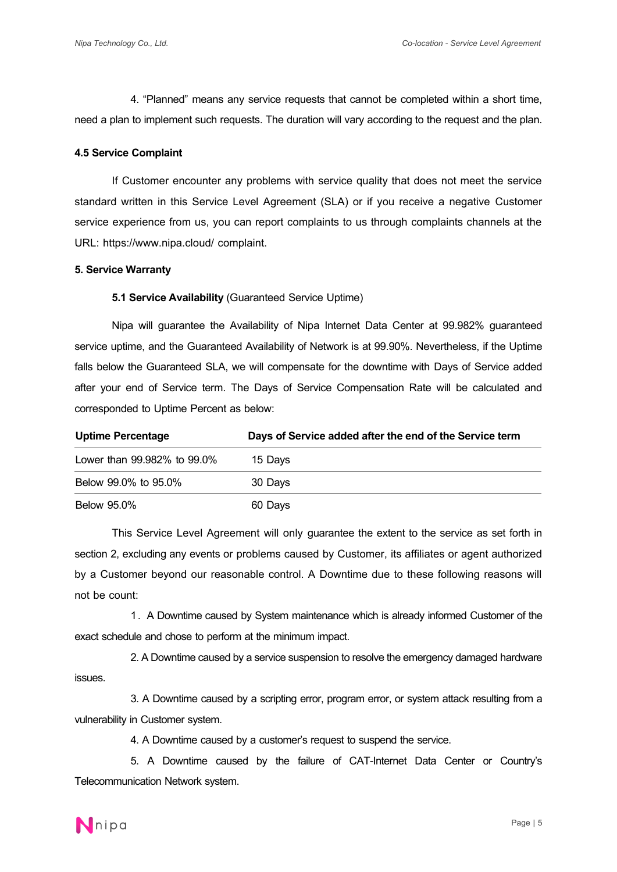4. "Planned" means any service requests that cannot be completed within a short time, need a plan to implement such requests. The duration will vary according to the request and the plan.

## **4.5 Service Complaint**

If Customer encounter any problems with service quality that does not meet the service standard written in this Service Level Agreement (SLA) or if you receive a negative Customer service experience from us, you can report complaints to us through complaints channels at the URL: https://www.nipa.cloud/ complaint.

## **5. Service Warranty**

## **5.1 Service Availability** (Guaranteed Service Uptime)

Nipa will guarantee the Availability of Nipa Internet Data Center at 99.982% guaranteed service uptime, and the Guaranteed Availability of Network is at 99.90%. Nevertheless, if the Uptime falls below the Guaranteed SLA, we will compensate for the downtime with Days of Service added after your end of Service term. The Days of Service Compensation Rate will be calculated and corresponded to Uptime Percent as below:

| <b>Uptime Percentage</b>    | Days of Service added after the end of the Service term |
|-----------------------------|---------------------------------------------------------|
| Lower than 99,982% to 99.0% | 15 Days                                                 |
| Below 99.0% to 95.0%        | 30 Days                                                 |
| <b>Below 95.0%</b>          | 60 Days                                                 |

This Service Level Agreement will only guarantee the extent to the service as set forth in section 2, excluding any events or problems caused by Customer, its affiliates or agent authorized by a Customer beyond our reasonable control. A Downtime due to these following reasons will not be count:

1. A Downtime caused by System maintenance which is already informed Customerof the exact schedule and chose to perform at the minimum impact.

2. A Downtime caused by a service suspension to resolve the emergency damaged hardware issues.

3. A Downtime caused by a scripting error, program error, or system attack resulting from a vulnerability in Customer system.

4. A Downtime caused by a customer's request to suspend the service.

5. A Downtime caused by the failure of CAT-Internet Data Center or Country's Telecommunication Network system.

**N**nipa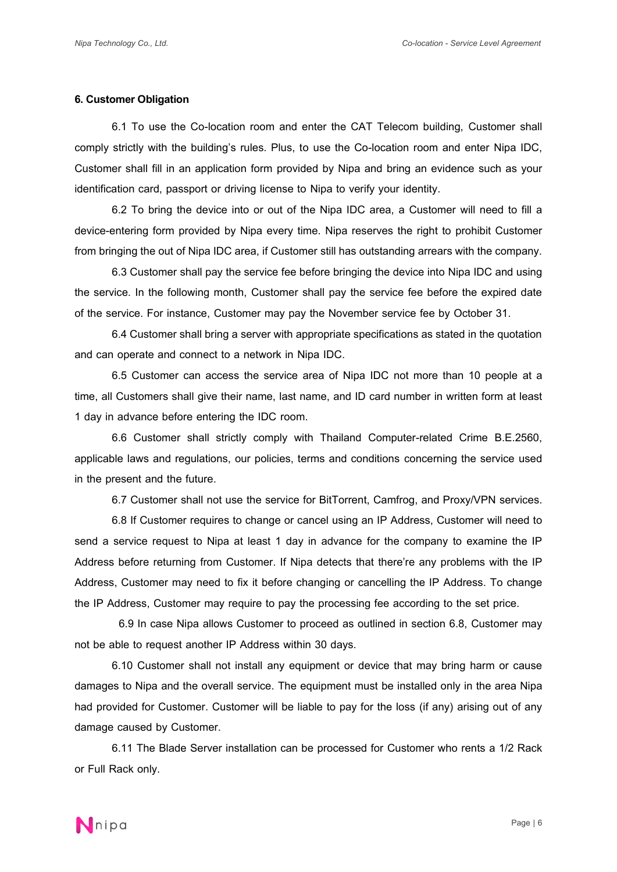### **6. Customer Obligation**

6.1 To use the Co-location room and enter the CAT Telecom building, Customer shall comply strictly with the building's rules. Plus, to use the Co-location room and enter Nipa IDC, Customer shall fill in an application form provided by Nipa and bring an evidence such as your identification card, passport or driving license to Nipa to verify your identity.

6.2 To bring the device into or out of the Nipa IDC area, a Customer will need to fill a device-entering form provided by Nipa every time. Nipa reserves the right to prohibit Customer from bringing the out of Nipa IDC area, if Customer still has outstanding arrears with the company.

6.3 Customer shall pay the service fee before bringing the device into Nipa IDC and using the service. In the following month, Customer shall pay the service fee before the expired date of the service. For instance, Customer may pay the November service fee by October 31.

6.4 Customer shall bring a server with appropriate specifications as stated in the quotation and can operate and connect to a network in Nipa IDC.

6.5 Customer can access the service area of Nipa IDC not more than 10 people at a time, all Customers shall give their name, last name, and ID card number in written form at least 1 day in advance before entering the IDC room.

6.6 Customer shall strictly comply with Thailand Computer-related Crime B.E.2560, applicable laws and regulations, our policies, terms and conditions concerning the service used in the present and the future.

6.7 Customer shall not use the service for BitTorrent, Camfrog, and Proxy/VPN services.

6.8 If Customer requires to change or cancel using an IP Address, Customer will need to send a service request to Nipa at least 1 day in advance for the company to examine the IP Address before returning from Customer. If Nipa detects that there're any problems with the IP Address, Customer may need to fix it before changing or cancelling the IP Address. To change the IP Address, Customer may require to pay the processing fee according to the set price.

 6.9 In case Nipa allows Customer to proceed as outlined in section 6.8, Customer may not be able to request another IP Address within 30 days.

6.10 Customer shall not install any equipment or device that may bring harm or cause damages to Nipa and the overall service. The equipment must be installed only in the area Nipa had provided for Customer. Customer will be liable to pay for the loss (if any) arising out of any damage caused by Customer.

 6.11 The Blade Server installation can be processed for Customer who rents a 1/2 Rack or Full Rack only.

**N**nipa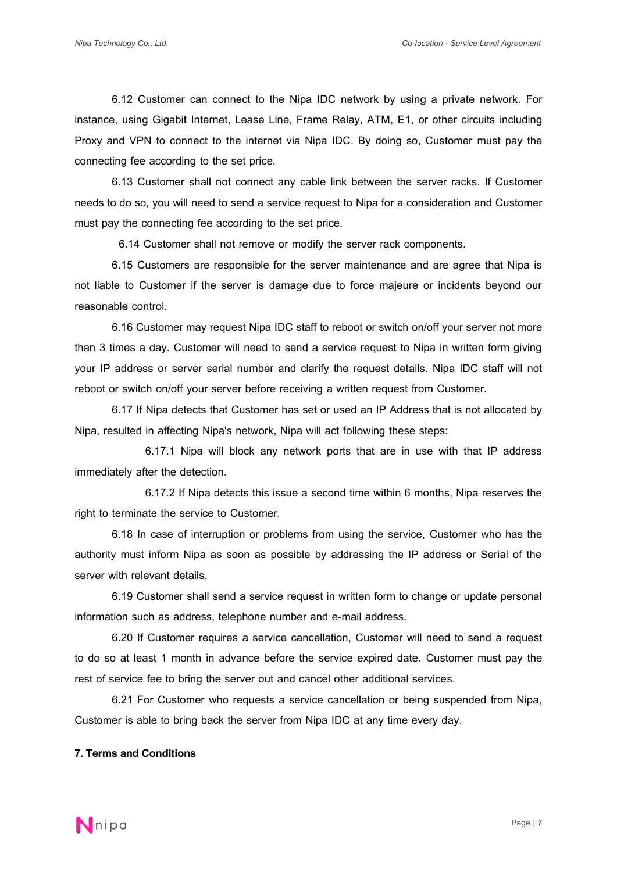6.12 Customer can connect to the Nipa IDC network by using a private network. For instance, using Gigabit Internet, Lease Line, Frame Relay, ATM, E1, or other circuits including Proxy and VPN to connect to the internet via Nipa IDC. By doing so, Customer must pay the connecting fee according to the set price.

6.13 Customer shall not connect any cable link between the server racks. If Customer needs to do so, you will need to send a service request to Nipa for a consideration and Customer must pay the connecting fee according to the set price.

6.14 Customer shall not remove or modify the server rack components.

6.15 Customers are responsible for the server maintenance and are agree that Nipa is not liable to Customer if the server is damage due to force majeure or incidents beyond our reasonable control.

 6.16 Customer may request Nipa IDC staff to reboot or switch on/off your server not more than 3 times a day. Customer will need to send a service request to Nipa in written form giving your IP address or server serial number and clarify the request details. Nipa IDC staff will not reboot or switch on/off your server before receiving a written request from Customer.

6.17 If Nipa detects that Customer has set or used an IP Address that is not allocated by Nipa, resulted in affecting Nipa's network, Nipa will act following these steps:

 6.17.1 Nipa will block any network ports that are in use with that IP address immediately after the detection.

 6.17.2 If Nipa detects this issue a second time within 6 months, Nipa reserves the right to terminate the service to Customer.

6.18 In case of interruption or problems from using the service, Customer who has the authority must inform Nipa as soon as possible by addressing the IP address or Serial of the server with relevant details.

6.19 Customer shall send a service request in written form to change or update personal information such as address, telephone number and e-mail address.

6.20 If Customer requires a service cancellation, Customer will need to send a request to do so at least 1 month in advance before the service expired date. Customer must pay the rest of service fee to bring the server out and cancel other additional services.

6.21 For Customer who requests a service cancellation or being suspended from Nipa, Customer is able to bring back the server from Nipa IDC at any time every day.

# **7. Terms and Conditions**

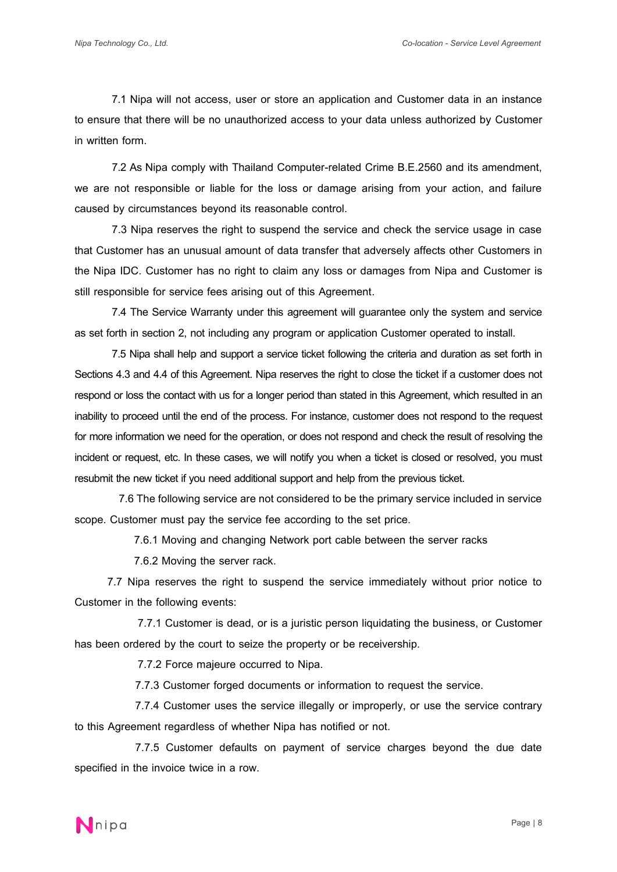7.1 Nipa will not access, user or store an application and Customer data in an instance to ensure that there will be no unauthorized access to your data unless authorized by Customer in written form.

7.2 As Nipa comply with Thailand Computer-related Crime B.E.2560 and its amendment, we are not responsible or liable for the loss or damage arising from your action, and failure caused by circumstances beyond its reasonable control.

7.3 Nipa reserves the right to suspend the service and check the service usage in case that Customer has an unusual amount of data transfer that adversely affects other Customers in the Nipa IDC. Customer has no right to claim any loss or damages from Nipa and Customer is still responsible for service fees arising out of this Agreement.

7.4 The Service Warranty under this agreement will guarantee only the system and service as set forth in section 2, not including any program or application Customer operated to install.

7.5 Nipa shall help and support a service ticket following the criteria and duration as set forth in Sections 4.3 and 4.4 of this Agreement. Nipa reserves the right to close the ticket if a customer does not respond or loss the contact with us for a longer period than stated in this Agreement, which resulted in an inability to proceed until the end of the process. For instance, customer does not respond to the request for more information we need for the operation, or does not respond and check the result of resolving the incident or request, etc. In these cases, we will notify you when a ticket is closed or resolved, you must resubmit the new ticket if you need additional support and help from the previous ticket.

 7.6The following service are not considered to be the primary service included in service scope. Customer must pay the service fee according to the set price.

7.6.1 Moving and changing Network port cable between the server racks

7.6.2 Moving the server rack.

7.7 Nipa reserves the right to suspend the service immediately without prior notice to Customer in the following events:

 7.7.1 Customer is dead, or is a juristic person liquidating the business, or Customer has been ordered by the court to seize the property or be receivership.

7.7.2 Force majeure occurred to Nipa.

7.7.3 Customer forged documents or information to request the service.

7.7.4 Customer uses the service illegally or improperly, or use the service contrary to this Agreement regardless of whether Nipa has notified or not.

7.7.5 Customer defaults on payment of service charges beyond the due date specified in the invoice twice in a row.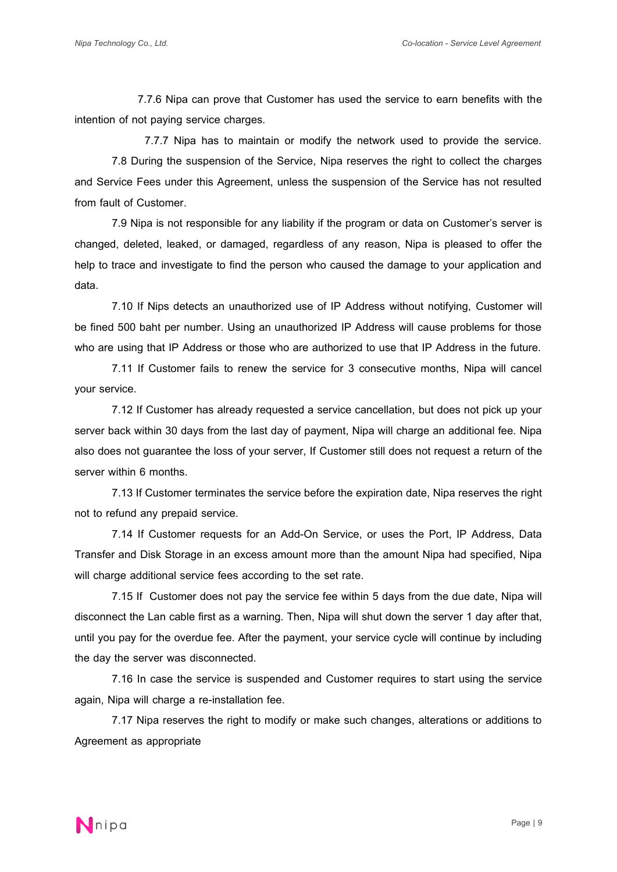7.7.6 Nipa can prove that Customer has used the service to earn benefits with the intention of not paying service charges.

7.7.7 Nipa has to maintain or modify the network used to provide the service.

7.8 During the suspension of the Service, Nipa reserves the right to collect the charges and Service Fees under this Agreement, unless the suspension of the Service has not resulted from fault of Customer.

7.9 Nipa is not responsible for any liability if the program or data on Customer's server is changed, deleted, leaked, or damaged, regardless of any reason, Nipa is pleased to offer the help to trace and investigate to find the person who caused the damage to your application and data.

7.10 If Nips detects an unauthorized use of IP Address without notifying, Customer will be fined 500 baht per number. Using an unauthorized IP Address will cause problems for those who are using that IP Address or those who are authorized to use that IP Address in the future.

7.11 If Customer fails to renew the service for 3 consecutive months, Nipa will cancel your service.

7.12 If Customer has already requested a service cancellation, but does not pick up your server back within 30 days from the last day of payment, Nipa will charge an additional fee. Nipa also does not guarantee the loss of your server, If Customer still does not request a return of the server within 6 months.

7.13 If Customer terminates the service before the expiration date, Nipa reserves the right not to refund any prepaid service.

7.14 If Customer requests for an Add-On Service, or uses the Port, IP Address, Data Transfer and Disk Storage in an excess amount more than the amount Nipa had specified, Nipa will charge additional service fees according to the set rate.

7.15 If Customer does not pay the service fee within 5 days from the due date, Nipa will disconnect the Lan cable first as a warning. Then, Nipa will shut down the server 1 day after that, until you pay for the overdue fee. After the payment, your service cycle will continue by including the day the server was disconnected.

7.16 In case the service is suspended and Customer requires to start using the service again, Nipa will charge a re-installation fee.

7.17 Nipa reserves the right to modify or make such changes, alterations or additions to Agreement as appropriate